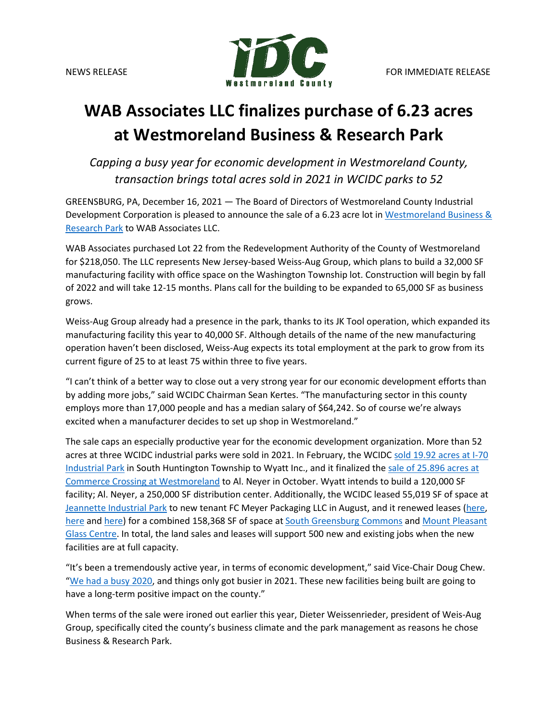

## **WAB Associates LLC finalizes purchase of 6.23 acres at Westmoreland Business & Research Park**

*Capping a busy year for economic development in Westmoreland County, transaction brings total acres sold in 2021 in WCIDC parks to 52*

GREENSBURG, PA, December 16, 2021 — The Board of Directors of Westmoreland County Industrial Development Corporation is pleased to announce the sale of a 6.23 acre lot i[n Westmoreland Business &](https://www.co.westmoreland.pa.us/590/Westmoreland-Business-Research-Park)  [Research Park](https://www.co.westmoreland.pa.us/590/Westmoreland-Business-Research-Park) to WAB Associates LLC.

WAB Associates purchased Lot 22 from the Redevelopment Authority of the County of Westmoreland for \$218,050. The LLC represents New Jersey-based Weiss-Aug Group, which plans to build a 32,000 SF manufacturing facility with office space on the Washington Township lot. Construction will begin by fall of 2022 and will take 12-15 months. Plans call for the building to be expanded to 65,000 SF as business grows.

Weiss-Aug Group already had a presence in the park, thanks to its JK Tool operation, which expanded its manufacturing facility this year to 40,000 SF. Although details of the name of the new manufacturing operation haven't been disclosed, Weiss-Aug expects its total employment at the park to grow from its current figure of 25 to at least 75 within three to five years.

"I can't think of a better way to close out a very strong year for our economic development efforts than by adding more jobs," said WCIDC Chairman Sean Kertes. "The manufacturing sector in this county employs more than 17,000 people and has a median salary of \$64,242. So of course we're always excited when a manufacturer decides to set up shop in Westmoreland."

The sale caps an especially productive year for the economic development organization. More than 52 acres at three WCIDC industrial parks were sold in 2021. In February, the WCID[C sold 19.92 acres at I-70](https://www.co.westmoreland.pa.us/DocumentCenter/View/21308/Wyatt-Inc-purchases-1992-acres-at-I-70-Industrial-Park)  [Industrial Park](https://www.co.westmoreland.pa.us/DocumentCenter/View/21308/Wyatt-Inc-purchases-1992-acres-at-I-70-Industrial-Park) in South Huntington Township to Wyatt Inc., and it finalized the [sale of 25.896 acres at](https://www.co.westmoreland.pa.us/DocumentCenter/View/22558/Al-Neyer---Commerce-Crossing-lot-3)  [Commerce Crossing at Westmoreland](https://www.co.westmoreland.pa.us/DocumentCenter/View/22558/Al-Neyer---Commerce-Crossing-lot-3) to Al. Neyer in October. Wyatt intends to build a 120,000 SF facility; Al. Neyer, a 250,000 SF distribution center. Additionally, the WCIDC leased 55,019 SF of space at [Jeannette Industrial Park](https://www.co.westmoreland.pa.us/598/Jeannette-Industrial-Park) to new tenant FC Meyer Packaging LLC in August, and it renewed leases [\(here,](https://www.co.westmoreland.pa.us/DocumentCenter/View/21887/051021---AssetGenie-lease-renewal) [here](https://www.co.westmoreland.pa.us/DocumentCenter/View/21584/041521---Glassautomatic-ORourke-lease-renewals) and [here\)](https://www.co.westmoreland.pa.us/DocumentCenter/View/21424/031921---EAP-renews-lease-at-MPGC) for a combined 158,368 SF of space a[t South Greensburg Commons](https://www.co.westmoreland.pa.us/599/South-Greensburg-Commons) and Mount Pleasant [Glass Centre.](https://www.co.westmoreland.pa.us/600/Mount-Pleasant-Glass-Centre) In total, the land sales and leases will support 500 new and existing jobs when the new facilities are at full capacity.

"It's been a tremendously active year, in terms of economic development," said Vice-Chair Doug Chew. ["We had a busy 2020,](https://apps.co.westmoreland.pa.us/WCIDC/flipbook2020/index.html?page=1) and things only got busier in 2021. These new facilities being built are going to have a long-term positive impact on the county."

When terms of the sale were ironed out earlier this year, Dieter Weissenrieder, president of Weis-Aug Group, specifically cited the county's business climate and the park management as reasons he chose Business & Research Park.